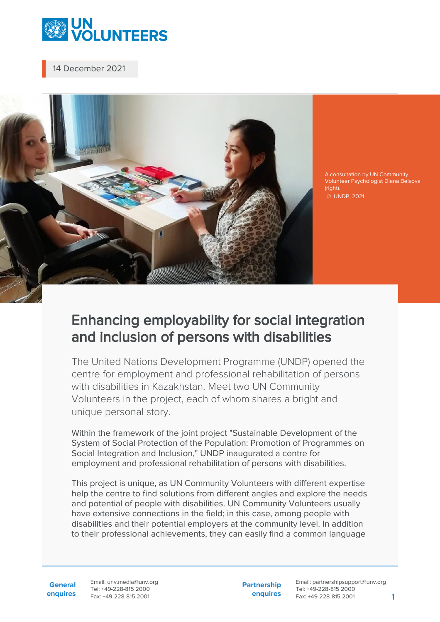

14 December 2021



A consultation by UN Community Volunteer Psychologist Diana Beisova (right)

© UNDP, 2021

## Enhancing employability for social integration and inclusion of persons with disabilities

The United Nations Development Programme (UNDP) opened the centre for employment and professional rehabilitation of persons with disabilities in Kazakhstan. Meet two UN Community Volunteers in the project, each of whom shares a bright and unique personal story.

Within the framework of the joint project "Sustainable Development of the System of Social Protection of the Population: Promotion of Programmes on Social Integration and Inclusion," UNDP inaugurated a centre for employment and professional rehabilitation of persons with disabilities.

This project is unique, as UN Community Volunteers with different expertise help the centre to find solutions from different angles and explore the needs and potential of people with disabilities. UN Community Volunteers usually have extensive connections in the field; in this case, among people with disabilities and their potential employers at the community level. In addition to their professional achievements, they can easily find a common language

**General enquires** Email: unv.media@unv.org Tel: +49-228-815 2000 Fax: +49-228-815 2001

**Partnership enquires**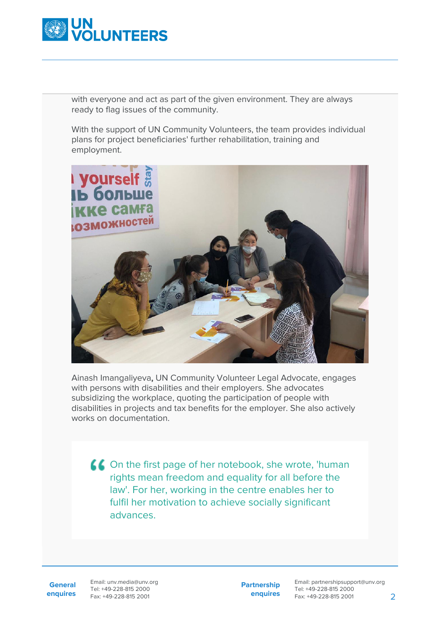

with everyone and act as part of the given environment. They are always ready to flag issues of the community.

With the support of UN Community Volunteers, the team provides individual plans for project beneficiaries' further rehabilitation, training and employment.



Ainash Imangaliyeva, UN Community Volunteer Legal Advocate, engages with persons with disabilities and their employers. She advocates subsidizing the workplace, quoting the participation of people with disabilities in projects and tax benefits for the employer. She also actively works on documentation.

On the first page of her notebook, she wrote, 'human rights mean freedom and equality for all before the law'. For her, working in the centre enables her to fulfil her motivation to achieve socially significant advances.

**General enquires** Email: unv.media@unv.org Tel: +49-228-815 2000 Fax: +49-228-815 2001

**Partnership enquires**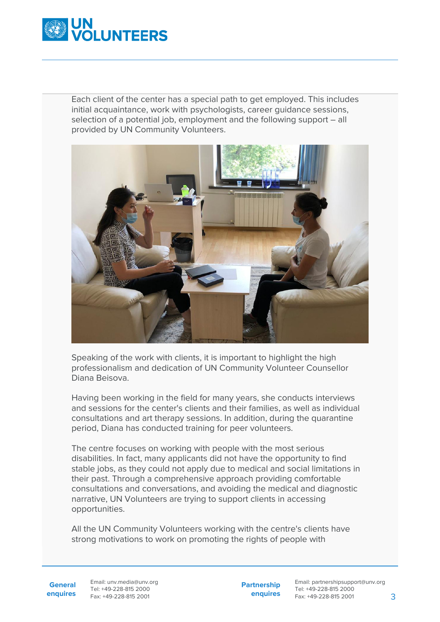

Each client of the center has a special path to get employed. This includes initial acquaintance, work with psychologists, career guidance sessions, selection of a potential job, employment and the following support – all provided by UN Community Volunteers.



Speaking of the work with clients, it is important to highlight the high professionalism and dedication of UN Community Volunteer Counsellor Diana Beisova.

Having been working in the field for many years, she conducts interviews and sessions for the center's clients and their families, as well as individual consultations and art therapy sessions. In addition, during the quarantine period, Diana has conducted training for peer volunteers.

The centre focuses on working with people with the most serious disabilities. In fact, many applicants did not have the opportunity to find stable jobs, as they could not apply due to medical and social limitations in their past. Through a comprehensive approach providing comfortable consultations and conversations, and avoiding the medical and diagnostic narrative, UN Volunteers are trying to support clients in accessing opportunities.

All the UN Community Volunteers working with the centre's clients have strong motivations to work on promoting the rights of people with

Email: unv.media@unv.org Tel: +49-228-815 2000 Fax: +49-228-815 2001

**Partnership enquires**